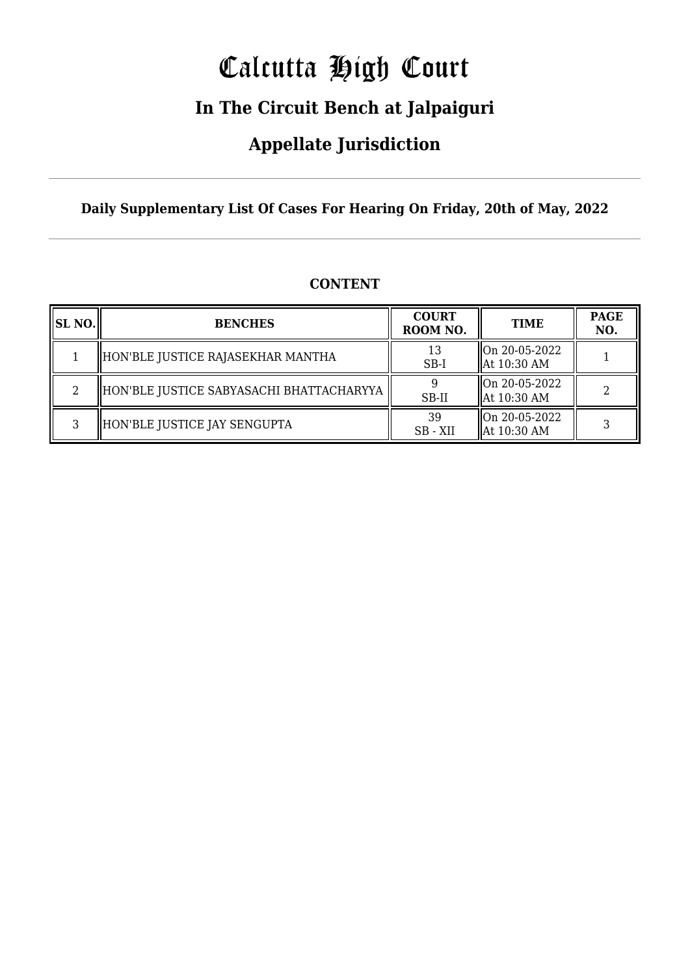# Calcutta High Court

## **In The Circuit Bench at Jalpaiguri**

### **Appellate Jurisdiction**

**Daily Supplementary List Of Cases For Hearing On Friday, 20th of May, 2022**

| SL NO. | <b>BENCHES</b>                           | <b>COURT</b><br>ROOM NO. | <b>TIME</b>                  | <b>PAGE</b><br>NO. |
|--------|------------------------------------------|--------------------------|------------------------------|--------------------|
|        | HON'BLE JUSTICE RAJASEKHAR MANTHA        | 13<br>$SB-I$             | On 20-05-2022<br>At 10:30 AM |                    |
|        | HON'BLE JUSTICE SABYASACHI BHATTACHARYYA | SB-II                    | On 20-05-2022<br>At 10:30 AM |                    |
| 3      | HON'BLE JUSTICE JAY SENGUPTA             | 39<br>SB - XII           | On 20-05-2022<br>At 10:30 AM | 3                  |

### **CONTENT**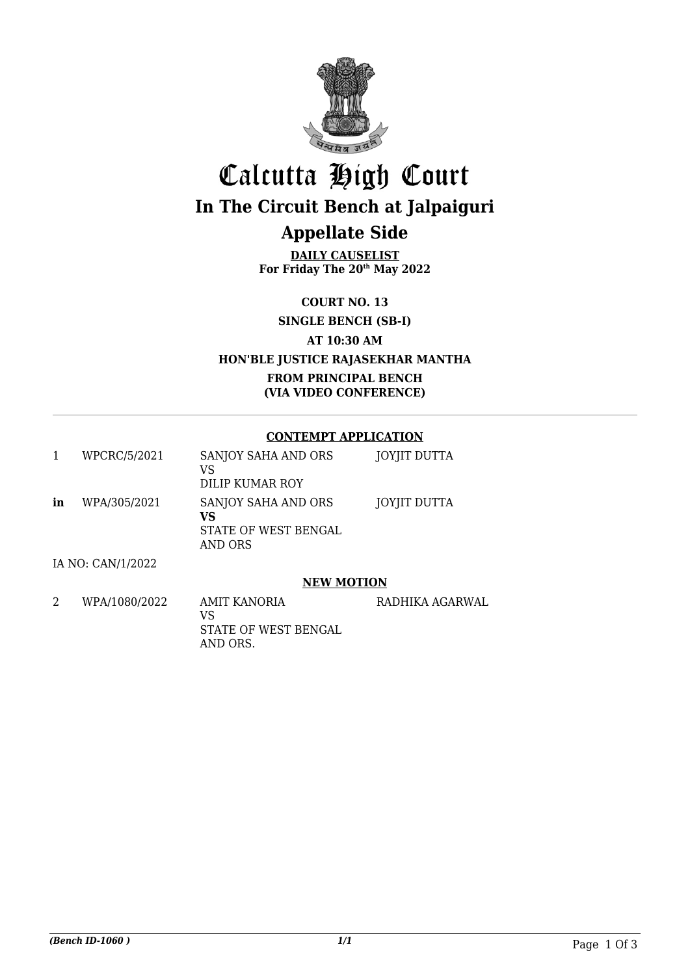

## Calcutta High Court **In The Circuit Bench at Jalpaiguri Appellate Side**

**DAILY CAUSELIST For Friday The 20th May 2022**

**COURT NO. 13**

**SINGLE BENCH (SB-I)**

**AT 10:30 AM**

### **HON'BLE JUSTICE RAJASEKHAR MANTHA**

**FROM PRINCIPAL BENCH (VIA VIDEO CONFERENCE)**

### **CONTEMPT APPLICATION**

|    | WPCRC/5/2021      | SANJOY SAHA AND ORS<br>VS<br>DILIP KUMAR ROY                 | JOYJIT DUTTA |
|----|-------------------|--------------------------------------------------------------|--------------|
| in | WPA/305/2021      | SANJOY SAHA AND ORS<br>VS<br>STATE OF WEST BENGAL<br>AND ORS | JOYJIT DUTTA |
|    | IA NO: CAN/1/2022 |                                                              |              |

### **NEW MOTION**

| WPA/1080/2022 | AMIT KANORIA               | RADHIKA AGARWAL |
|---------------|----------------------------|-----------------|
|               | VS<br>STATE OF WEST BENGAL |                 |
|               | AND ORS.                   |                 |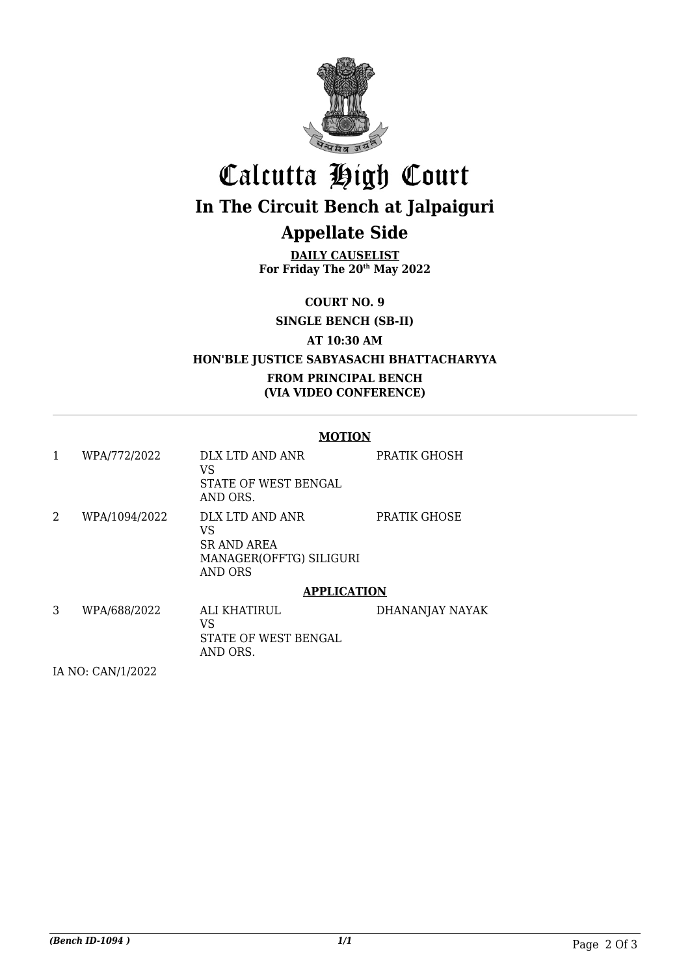

# Calcutta High Court **In The Circuit Bench at Jalpaiguri**

### **Appellate Side**

**DAILY CAUSELIST For Friday The 20th May 2022**

**COURT NO. 9**

**SINGLE BENCH (SB-II)**

**AT 10:30 AM**

### **HON'BLE JUSTICE SABYASACHI BHATTACHARYYA**

### **FROM PRINCIPAL BENCH (VIA VIDEO CONFERENCE)**

#### **MOTION**

| 1 | WPA/772/2022  | DLX LTD AND ANR<br>VS<br>STATE OF WEST BENGAL<br>AND ORS.                                | PRATIK GHOSH    |
|---|---------------|------------------------------------------------------------------------------------------|-----------------|
| 2 | WPA/1094/2022 | DLX LTD AND ANR<br>VS<br><b>SR AND AREA</b><br>MANAGER(OFFTG) SILIGURI<br><b>AND ORS</b> | PRATIK GHOSE    |
|   |               | <b>APPLICATION</b>                                                                       |                 |
| 3 | WPA/688/2022  | ALI KHATIRUL.<br>VS<br>STATE OF WEST BENGAL<br>AND ORS.                                  | DHANANJAY NAYAK |

IA NO: CAN/1/2022